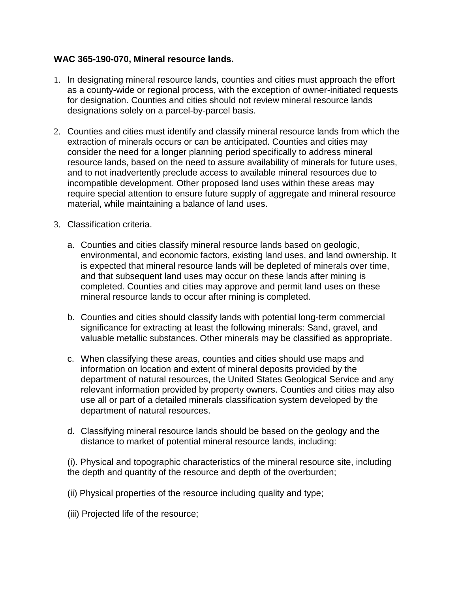## **WAC 365-190-070, Mineral resource lands.**

- 1. In designating mineral resource lands, counties and cities must approach the effort as a county-wide or regional process, with the exception of owner-initiated requests for designation. Counties and cities should not review mineral resource lands designations solely on a parcel-by-parcel basis.
- 2. Counties and cities must identify and classify mineral resource lands from which the extraction of minerals occurs or can be anticipated. Counties and cities may consider the need for a longer planning period specifically to address mineral resource lands, based on the need to assure availability of minerals for future uses, and to not inadvertently preclude access to available mineral resources due to incompatible development. Other proposed land uses within these areas may require special attention to ensure future supply of aggregate and mineral resource material, while maintaining a balance of land uses.
- 3. Classification criteria.
	- a. Counties and cities classify mineral resource lands based on geologic, environmental, and economic factors, existing land uses, and land ownership. It is expected that mineral resource lands will be depleted of minerals over time, and that subsequent land uses may occur on these lands after mining is completed. Counties and cities may approve and permit land uses on these mineral resource lands to occur after mining is completed.
	- b. Counties and cities should classify lands with potential long-term commercial significance for extracting at least the following minerals: Sand, gravel, and valuable metallic substances. Other minerals may be classified as appropriate.
	- c. When classifying these areas, counties and cities should use maps and information on location and extent of mineral deposits provided by the department of natural resources, the United States Geological Service and any relevant information provided by property owners. Counties and cities may also use all or part of a detailed minerals classification system developed by the department of natural resources.
	- d. Classifying mineral resource lands should be based on the geology and the distance to market of potential mineral resource lands, including:

(i). Physical and topographic characteristics of the mineral resource site, including the depth and quantity of the resource and depth of the overburden;

- (ii) Physical properties of the resource including quality and type;
- (iii) Projected life of the resource;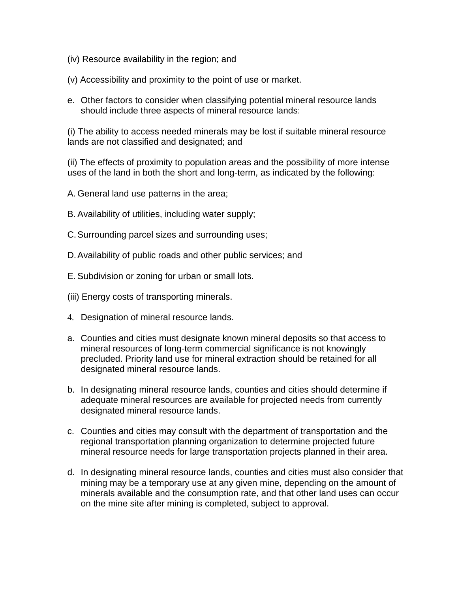- (iv) Resource availability in the region; and
- (v) Accessibility and proximity to the point of use or market.
- e. Other factors to consider when classifying potential mineral resource lands should include three aspects of mineral resource lands:

(i) The ability to access needed minerals may be lost if suitable mineral resource lands are not classified and designated; and

(ii) The effects of proximity to population areas and the possibility of more intense uses of the land in both the short and long-term, as indicated by the following:

A. General land use patterns in the area;

- B. Availability of utilities, including water supply;
- C.Surrounding parcel sizes and surrounding uses;
- D.Availability of public roads and other public services; and
- E. Subdivision or zoning for urban or small lots.
- (iii) Energy costs of transporting minerals.
- 4. Designation of mineral resource lands.
- a. Counties and cities must designate known mineral deposits so that access to mineral resources of long-term commercial significance is not knowingly precluded. Priority land use for mineral extraction should be retained for all designated mineral resource lands.
- b. In designating mineral resource lands, counties and cities should determine if adequate mineral resources are available for projected needs from currently designated mineral resource lands.
- c. Counties and cities may consult with the department of transportation and the regional transportation planning organization to determine projected future mineral resource needs for large transportation projects planned in their area.
- d. In designating mineral resource lands, counties and cities must also consider that mining may be a temporary use at any given mine, depending on the amount of minerals available and the consumption rate, and that other land uses can occur on the mine site after mining is completed, subject to approval.